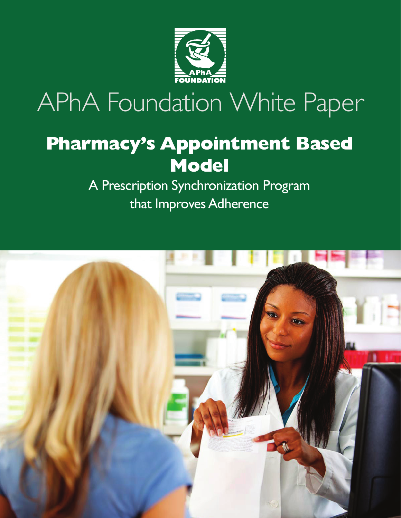

# APhA Foundation White Paper

# **Pharmacy's Appointment Based Model**

A Prescription Synchronization Program that Improves Adherence

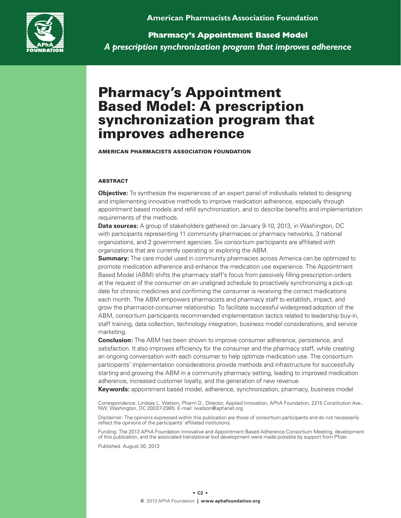**American Pharmacists Association Foundation**



**Pharmacy's Appointment Based Model** *A prescription synchronization program that improves adherence*

## Pharmacy's Appointment Based Model: A prescription synchronization program that improves adherence

American Pharmacists Association Foundation

#### **ABSTRACT**

**Objective:** To synthesize the experiences of an expert panel of individuals related to designing and implementing innovative methods to improve medication adherence, especially through appointment based models and refill synchronization, and to describe benefits and implementation requirements of the methods.

**Data sources:** A group of stakeholders gathered on January 9-10, 2013, in Washington, DC with participants representing 11 community pharmacies or pharmacy networks, 3 national organizations, and 2 government agencies. Six consortium participants are affiliated with organizations that are currently operating or exploring the ABM.

**Summary:** The care model used in community pharmacies across America can be optimized to promote medication adherence and enhance the medication use experience. The Appointment Based Model (ABM) shifts the pharmacy staff's focus from passively filling prescription orders at the request of the consumer on an unaligned schedule to proactively synchronizing a pick-up date for chronic medicines and confirming the consumer is receiving the correct medications each month. The ABM empowers pharmacists and pharmacy staff to establish, impact, and grow the pharmacist-consumer relationship. To facilitate successful widespread adoption of the ABM, consortium participants recommended implementation tactics related to leadership buy-in, staff training, data collection, technology integration, business model considerations, and service marketing.

**Conclusion:** The ABM has been shown to improve consumer adherence, persistence, and satisfaction. It also improves efficiency for the consumer and the pharmacy staff, while creating an ongoing conversation with each consumer to help optimize medication use. The consortium participants' implementation considerations provide methods and infrastructure for successfully starting and growing the ABM in a community pharmacy setting, leading to improved medication adherence, increased customer loyalty, and the generation of new revenue.

**Keywords:** appointment based model, adherence, synchronization, pharmacy, business model

Correspondence: Lindsay L. Watson, Pharm.D., Director, Applied Innovation, APhA Foundation, 2215 Constitution Ave., NW, Washington, DC 20037-2985. E-mail: lwatson@aphanet.org

Disclaimer: The opinions expressed within this publication are those of consortium participants and do not necessarily reflect the opinions of the participants' affiliated institutions.

Funding: The 2013 APhA Foundation Innovative and Appointment Based Adherence Consortium Meeting, development of this publication, and the associated translational tool development were made possible by support from Pfizer.

Published: August 30, 2013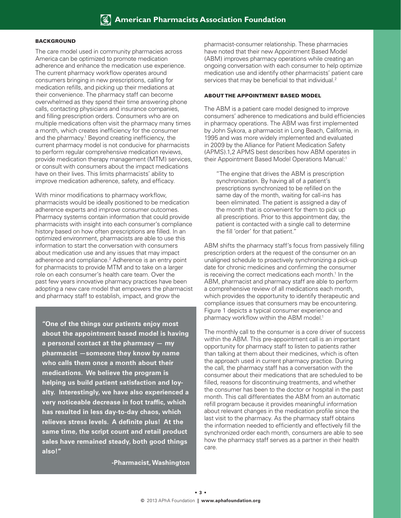#### **BACKGROUND**

The care model used in community pharmacies across America can be optimized to promote medication adherence and enhance the medication use experience. The current pharmacy workflow operates around consumers bringing in new prescriptions, calling for medication refills, and picking up their mediations at their convenience. The pharmacy staff can become overwhelmed as they spend their time answering phone calls, contacting physicians and insurance companies, and filling prescription orders. Consumers who are on multiple medications often visit the pharmacy many times a month, which creates inefficiency for the consumer and the pharmacy.<sup>1</sup> Beyond creating inefficiency, the current pharmacy model is not conducive for pharmacists to perform regular comprehensive medication reviews, provide medication therapy management (MTM) services, or consult with consumers about the impact medications have on their lives. This limits pharmacists' ability to improve medication adherence, safety, and efficacy.

With minor modifications to pharmacy workflow, pharmacists would be ideally positioned to be medication adherence experts and improve consumer outcomes. Pharmacy systems contain information that could provide pharmacists with insight into each consumer's compliance history based on how often prescriptions are filled. In an optimized environment, pharmacists are able to use this information to start the conversation with consumers about medication use and any issues that may impact adherence and compliance.<sup>2</sup> Adherence is an entry point for pharmacists to provide MTM and to take on a larger role on each consumer's health care team. Over the past few years innovative pharmacy practices have been adopting a new care model that empowers the pharmacist and pharmacy staff to establish, impact, and grow the

**"One of the things our patients enjoy most about the appointment based model is having a personal contact at the pharmacy — my pharmacist —someone they know by name who calls them once a month about their medications. We believe the program is helping us build patient satisfaction and loyalty. Interestingly, we have also experienced a very noticeable decrease in foot traffic, which has resulted in less day-to-day chaos, which relieves stress levels. A definite plus! At the same time, the script count and retail product sales have remained steady, both good things also!"** 

**-Pharmacist, Washington**

pharmacist-consumer relationship. These pharmacies have noted that their new Appointment Based Model (ABM) improves pharmacy operations while creating an ongoing conversation with each consumer to help optimize medication use and identify other pharmacists' patient care services that may be beneficial to that individual.<sup>2</sup>

#### About the Appointment Based Model

The ABM is a patient care model designed to improve consumers' adherence to medications and build efficiencies in pharmacy operations. The ABM was first implemented by John Sykora, a pharmacist in Long Beach, California, in 1995 and was more widely implemented and evaluated in 2009 by the Alliance for Patient Medication Safety (APMS).1,2 APMS best describes how ABM operates in their Appointment Based Model Operations Manual:<sup>1</sup>

"The engine that drives the ABM is prescription synchronization. By having all of a patient's prescriptions synchronized to be refilled on the same day of the month, waiting for call-ins has been eliminated. The patient is assigned a day of the month that is convenient for them to pick up all prescriptions. Prior to this appointment day, the patient is contacted with a single call to determine the fill 'order' for that patient."

ABM shifts the pharmacy staff's focus from passively filling prescription orders at the request of the consumer on an unaligned schedule to proactively synchronizing a pick-up date for chronic medicines and confirming the consumer is receiving the correct medications each month.<sup>1</sup> In the ABM, pharmacist and pharmacy staff are able to perform a comprehensive review of all medications each month, which provides the opportunity to identify therapeutic and compliance issues that consumers may be encountering. Figure 1 depicts a typical consumer experience and pharmacy workflow within the ABM model.<sup>1</sup>

The monthly call to the consumer is a core driver of success within the ABM. This pre-appointment call is an important opportunity for pharmacy staff to listen to patients rather than talking at them about their medicines, which is often the approach used in current pharmacy practice. During the call, the pharmacy staff has a conversation with the consumer about their medications that are scheduled to be filled, reasons for discontinuing treatments, and whether the consumer has been to the doctor or hospital in the past month. This call differentiates the ABM from an automatic refill program because it provides meaningful information about relevant changes in the medication profile since the last visit to the pharmacy. As the pharmacy staff obtains the information needed to efficiently and effectively fill the synchronized order each month, consumers are able to see how the pharmacy staff serves as a partner in their health care.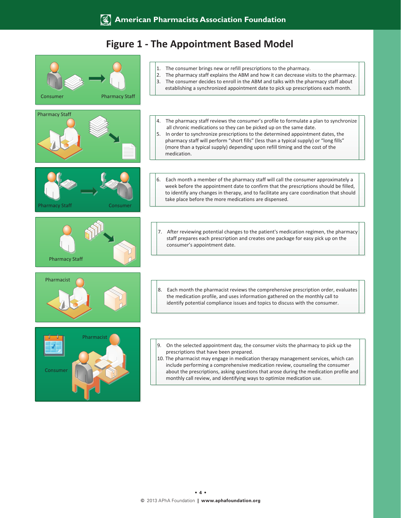### **Figure 1 - The Appointment Based Model**

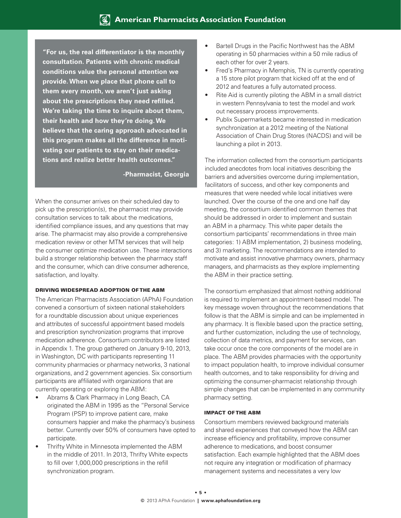**"For us, the real differentiator is the monthly consultation. Patients with chronic medical conditions value the personal attention we provide. When we place that phone call to them every month, we aren't just asking about the prescriptions they need refilled. We're taking the time to inquire about them, their health and how they're doing. We believe that the caring approach advocated in this program makes all the difference in motivating our patients to stay on their medications and realize better health outcomes."**

**-Pharmacist, Georgia**

When the consumer arrives on their scheduled day to pick up the prescription(s), the pharmacist may provide consultation services to talk about the medications, identified compliance issues, and any questions that may arise. The pharmacist may also provide a comprehensive medication review or other MTM services that will help the consumer optimize medication use. These interactions build a stronger relationship between the pharmacy staff and the consumer, which can drive consumer adherence, satisfaction, and loyalty.

#### Driving Widespread Adoption of the ABM

The American Pharmacists Association (APhA) Foundation convened a consortium of sixteen national stakeholders for a roundtable discussion about unique experiences and attributes of successful appointment based models and prescription synchronization programs that improve medication adherence. Consortium contributors are listed in Appendix 1. The group gathered on January 9-10, 2013, in Washington, DC with participants representing 11 community pharmacies or pharmacy networks, 3 national organizations, and 2 government agencies. Six consortium participants are affiliated with organizations that are currently operating or exploring the ABM:

- Abrams & Clark Pharmacy in Long Beach, CA originated the ABM in 1995 as the "Personal Service Program (PSP) to improve patient care, make consumers happier and make the pharmacy's business better. Currently over 50% of consumers have opted to participate.
- Thrifty White in Minnesota implemented the ABM in the middle of 2011. In 2013, Thrifty White expects to fill over 1,000,000 prescriptions in the refill synchronization program.
- Bartell Drugs in the Pacific Northwest has the ABM operating in 50 pharmacies within a 50 mile radius of each other for over 2 years.
- Fred's Pharmacy in Memphis, TN is currently operating a 15 store pilot program that kicked off at the end of 2012 and features a fully automated process.
- Rite Aid is currently piloting the ABM in a small district in western Pennsylvania to test the model and work out necessary process improvements.
- Publix Supermarkets became interested in medication synchronization at a 2012 meeting of the National Association of Chain Drug Stores (NACDS) and will be launching a pilot in 2013.

The information collected from the consortium participants included anecdotes from local initiatives describing the barriers and adversities overcome during implementation, facilitators of success, and other key components and measures that were needed while local initiatives were launched. Over the course of the one and one half day meeting, the consortium identified common themes that should be addressed in order to implement and sustain an ABM in a pharmacy. This white paper details the consortium participants' recommendations in three main categories: 1) ABM implementation, 2) business modeling, and 3) marketing. The recommendations are intended to motivate and assist innovative pharmacy owners, pharmacy managers, and pharmacists as they explore implementing the ABM in their practice setting.

The consortium emphasized that almost nothing additional is required to implement an appointment-based model. The key message woven throughout the recommendations that follow is that the ABM is simple and can be implemented in any pharmacy. It is flexible based upon the practice setting, and further customization, including the use of technology, collection of data metrics, and payment for services, can take occur once the core components of the model are in place. The ABM provides pharmacies with the opportunity to impact population health, to improve individual consumer health outcomes, and to take responsibility for driving and optimizing the consumer-pharmacist relationship through simple changes that can be implemented in any community pharmacy setting.

#### Impact of the ABM

Consortium members reviewed background materials and shared experiences that conveyed how the ABM can increase efficiency and profitability, improve consumer adherence to medications, and boost consumer satisfaction. Each example highlighted that the ABM does not require any integration or modification of pharmacy management systems and necessitates a very low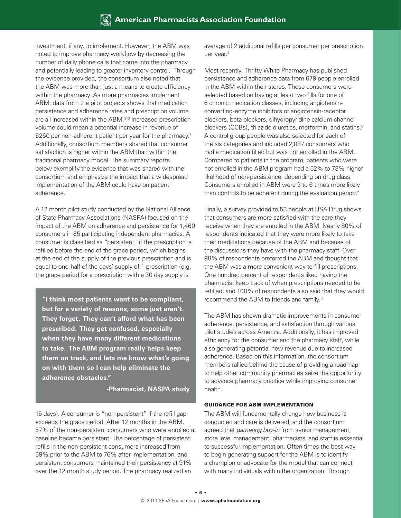investment, if any, to implement. However, the ABM was noted to improve pharmacy workflow by decreasing the number of daily phone calls that come into the pharmacy and potentially leading to greater inventory control.<sup>1</sup> Through the evidence provided, the consortium also noted that the ABM was more than just a means to create efficiency within the pharmacy. As more pharmacies implement ABM, data from the pilot projects shows that medication persistence and adherence rates and prescription volume are all increased within the ABM.3-6 Increased prescription volume could mean a potential increase in revenue of \$260 per non-adherent patient per year for the pharmacy.<sup>7</sup> Additionally, consortium members shared that consumer satisfaction is higher within the ABM than within the traditional pharmacy model. The summary reports below exemplify the evidence that was shared with the consortium and emphasize the impact that a widespread implementation of the ABM could have on patient adherence.

A 12 month pilot study conducted by the National Alliance of State Pharmacy Associations (NASPA) focused on the impact of the ABM on adherence and persistence for 1,460 consumers in 85 participating independent pharmacies. A consumer is classified as "persistent" if the prescription is refilled before the end of the grace period, which begins at the end of the supply of the previous prescription and is equal to one-half of the days' supply of 1 prescription (e.g. the grace period for a prescription with a 30 day supply is

**"I think most patients want to be compliant, but for a variety of reasons, some just aren't. They forget. They can't afford what has been prescribed. They get confused, especially when they have many different medications to take. The ABM program really helps keep them on track, and lets me know what's going on with them so I can help eliminate the adherence obstacles."**

**-Pharmacist, NASPA study**

15 days). A consumer is "non-persistent" if the refill gap exceeds the grace period. After 12 months in the ABM, 57% of the non-persistent consumers who were enrolled at baseline became persistent. The percentage of persistent refills in the non-persistent consumers increased from 59% prior to the ABM to 76% after implementation, and persistent consumers maintained their persistency at 91% over the 12 month study period. The pharmacy realized an

average of 2 additional refills per consumer per prescription per year.4

Most recently, Thrifty White Pharmacy has published persistence and adherence data from 679 people enrolled in the ABM within their stores. These consumers were selected based on having at least two fills for one of 6 chronic medication classes, including angiotensinconverting-enzyme inhibitors or angiotensin-receptor blockers, beta blockers, dihydropyridine calcium channel blockers (CCBs), thiazide diuretics, metformin, and statins.<sup>6</sup> A control group people was also selected for each of the six categories and included 2,087 consumers who had a medication filled but was not enrolled in the ABM. Compared to patients in the program, patients who were not enrolled in the ABM program had a 52% to 73% higher likelihood of non-persistence, depending on drug class. Consumers enrolled in ABM were 3 to 6 times more likely than controls to be adherent during the evaluation period.<sup>6</sup>

Finally, a survey provided to 53 people at USA Drug shows that consumers are more satisfied with the care they receive when they are enrolled in the ABM. Nearly 80% of respondents indicated that they were more likely to take their medications because of the ABM and because of the discussions they have with the pharmacy staff. Over 98% of respondents preferred the ABM and thought that the ABM was a more convenient way to fill prescriptions. One hundred percent of respondents liked having the pharmacist keep track of when prescriptions needed to be refilled, and 100% of respondents also said that they would recommend the ABM to friends and family.8

The ABM has shown dramatic improvements in consumer adherence, persistence, and satisfaction through various pilot studies across America. Additionally, it has improved efficiency for the consumer and the pharmacy staff, while also generating potential new revenue due to increased adherence. Based on this information, the consortium members rallied behind the cause of providing a roadmap to help other community pharmacies seize the opportunity to advance pharmacy practice while improving consumer health.

#### Guidance for ABM Implementation

The ABM will fundamentally change how business is conducted and care is delivered, and the consortium agreed that *garnering buy-in* from senior management, store level management, pharmacists, and staff is essential to successful implementation. Often times the best way to begin generating support for the ABM is to identify a champion or advocate for the model that can connect with many individuals within the organization. Through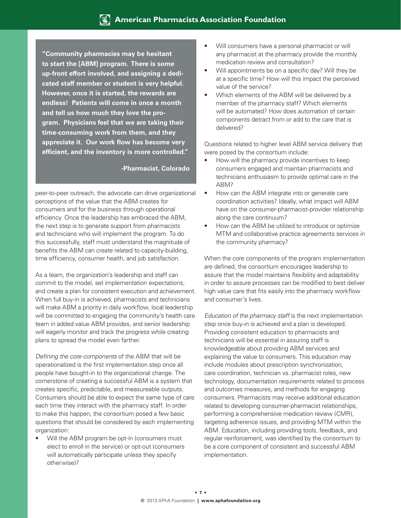**"Community pharmacies may be hesitant to start the [ABM] program. There is some up-front effort involved, and assigning a dedicated staff member or student is very helpful. However, once it is started, the rewards are endless! Patients will come in once a month and tell us how much they love the program. Physicians feel that we are taking their time-consuming work from them, and they appreciate it. Our work flow has become very efficient, and the inventory is more controlled."**

#### **-Pharmacist, Colorado**

peer-to-peer outreach, the advocate can drive organizational perceptions of the value that the ABM creates for consumers and for the business through operational efficiency. Once the leadership has embraced the ABM, the next step is to generate support from pharmacists and technicians who will implement the program. To do this successfully, staff must understand the magnitude of benefits the ABM can create related to capacity-building, time efficiency, consumer health, and job satisfaction.

As a team, the organization's leadership and staff can commit to the model, set implementation expectations, and create a plan for consistent execution and achievement. When full buy-in is achieved, pharmacists and technicians will make ABM a priority in daily workflow, local leadership will be committed to engaging the community's health care team in added value ABM provides, and senior leadership will eagerly monitor and track the progress while creating plans to spread the model even farther.

*Defining the core components* of the ABM that will be operationalized is the first implementation step once all people have bought-in to the organizational change. The cornerstone of creating a successful ABM is a system that creates specific, predictable, and measureable outputs. Consumers should be able to expect the same type of care each time they interact with the pharmacy staff. In order to make this happen, the consortium posed a few basic questions that should be considered by each implementing organization:

Will the ABM program be opt-in (consumers must elect to enroll in the service) or opt-out (consumers will automatically participate unless they specify otherwise)?

- Will consumers have a personal pharmacist or will any pharmacist at the pharmacy provide the monthly medication review and consultation?
- Will appointments be on a specific day? Will they be at a specific time? How will this impact the perceived value of the service?
- Which elements of the ABM will be delivered by a member of the pharmacy staff? Which elements will be automated? How does automation of certain components detract from or add to the care that is delivered?

Questions related to higher level ABM service delivery that were posed by the consortium include:

- How will the pharmacy provide incentives to keep consumers engaged and maintain pharmacists and technicians enthusiasm to provide optimal care in the ABM?
- How can the ABM integrate into or generate care coordination activities? Ideally, what impact will ABM have on the consumer-pharmacist-provider relationship along the care continuum?
- How can the ABM be utilized to introduce or optimize MTM and collaborative practice agreements services in the community pharmacy?

When the core components of the program implementation are defined, the consortium encourages leadership to assure that the model maintains flexibility and adaptability in order to assure processes can be modified to best deliver high value care that fits easily into the pharmacy workflow and consumer's lives.

*Education of the pharmacy staff* is the next implementation step once buy-in is achieved and a plan is developed. Providing consistent education to pharmacists and technicians will be essential in assuring staff is knowledgeable about providing ABM services and explaining the value to consumers. This education may include modules about prescription synchronization, care coordination, technician vs. pharmacist roles, new technology, documentation requirements related to process and outcomes measures, and methods for engaging consumers. Pharmacists may receive additional education related to developing consumer-pharmacist relationships, performing a comprehensive medication review (CMR), targeting adherence issues, and providing MTM within the ABM. Education, including providing tools, feedback, and regular reinforcement, was identified by the consortium to be a core component of consistent and successful ABM implementation.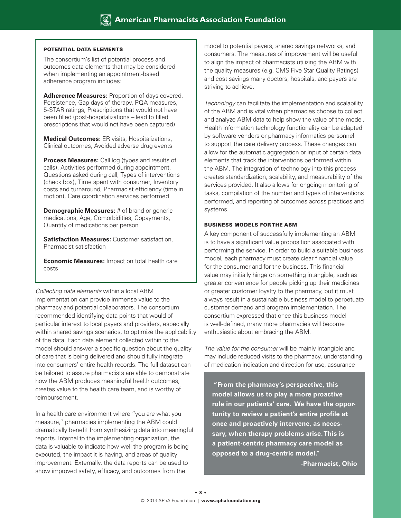#### Potential Data Elements

The consortium's list of potential process and outcomes data elements that may be considered when implementing an appointment-based adherence program includes:

**Adherence Measures:** Proportion of days covered, Persistence, Gap days of therapy, PQA measures, 5-STAR ratings, Prescriptions that would not have been filled (post-hospitalizations – lead to filled prescriptions that would not have been captured)

**Medical Outcomes:** ER visits, Hospitalizations, Clinical outcomes, Avoided adverse drug events

**Process Measures:** Call log (types and results of calls), Activities performed during appointment, Questions asked during call, Types of interventions (check box), Time spent with consumer, Inventory costs and turnaround, Pharmacist efficiency (time in motion), Care coordination services performed

**Demographic Measures:** # of brand or generic medications, Age, Comorbidities, Copayments, Quantity of medications per person

**Satisfaction Measures:** Customer satisfaction, Pharmacist satisfaction

**Economic Measures:** Impact on total health care costs

*Collecting data elements* within a local ABM implementation can provide immense value to the pharmacy and potential collaborators. The consortium recommended identifying data points that would of particular interest to local payers and providers, especially within shared savings scenarios, to optimize the applicability of the data. Each data element collected within to the model should answer a specific question about the quality of care that is being delivered and should fully integrate into consumers' entire health records. The full dataset can be tailored to assure pharmacists are able to demonstrate how the ABM produces meaningful health outcomes, creates value to the health care team, and is worthy of reimbursement.

In a health care environment where "you are what you measure," pharmacies implementing the ABM could dramatically benefit from synthesizing data into meaningful reports. Internal to the implementing organization, the data is valuable to indicate how well the program is being executed, the impact it is having, and areas of quality improvement. Externally, the data reports can be used to show improved safety, efficacy, and outcomes from the

model to potential payers, shared savings networks, and consumers. The measures of improvement will be useful to align the impact of pharmacists utilizing the ABM with the quality measures (e.g. CMS Five Star Quality Ratings) and cost savings many doctors, hospitals, and payers are striving to achieve.

*Technology* can facilitate the implementation and scalability of the ABM and is vital when pharmacies choose to collect and analyze ABM data to help show the value of the model. Health information technology functionality can be adapted by software vendors or pharmacy informatics personnel to support the care delivery process. These changes can allow for the automatic aggregation or input of certain data elements that track the interventions performed within the ABM. The integration of technology into this process creates standardization, scalability, and measurability of the services provided. It also allows for ongoing monitoring of tasks, compilation of the number and types of interventions performed, and reporting of outcomes across practices and systems.

#### Business Models for the ABM

A key component of successfully implementing an ABM is to have a significant value proposition associated with performing the service. In order to build a suitable business model, each pharmacy must create clear financial value for the consumer and for the business. This financial value may initially hinge on something intangible, such as greater convenience for people picking up their medicines or greater customer loyalty to the pharmacy, but it must always result in a sustainable business model to perpetuate customer demand and program implementation. The consortium expressed that once this business model is well-defined, many more pharmacies will become enthusiastic about embracing the ABM.

*The value for the consumer* will be mainly intangible and may include reduced visits to the pharmacy, understanding of medication indication and direction for use, assurance

 **"From the pharmacy's perspective, this model allows us to play a more proactive role in our patients' care. We have the opportunity to review a patient's entire profile at once and proactively intervene, as necessary, when therapy problems arise. This is a patient-centric pharmacy care model as opposed to a drug-centric model."**

**-Pharmacist, Ohio**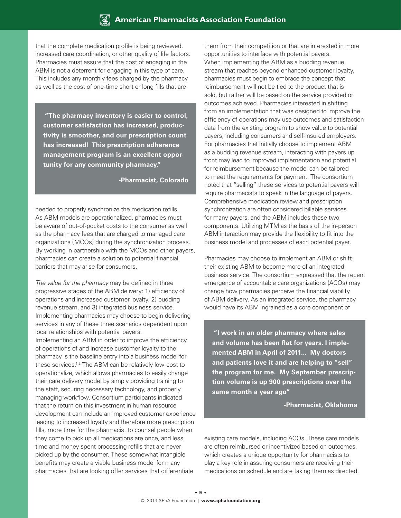that the complete medication profile is being reviewed, increased care coordination, or other quality of life factors. Pharmacies must assure that the cost of engaging in the ABM is not a deterrent for engaging in this type of care. This includes any monthly fees charged by the pharmacy as well as the cost of one-time short or long fills that are

 **"The pharmacy inventory is easier to control, customer satisfaction has increased, productivity is smoother, and our prescription count has increased! This prescription adherence management program is an excellent opportunity for any community pharmacy."**

**-Pharmacist, Colorado**

needed to properly synchronize the medication refills. As ABM models are operationalized, pharmacies must be aware of out-of-pocket costs to the consumer as well as the pharmacy fees that are charged to managed care organizations (MCOs) during the synchronization process. By working in partnership with the MCOs and other payers, pharmacies can create a solution to potential financial barriers that may arise for consumers.

*The value for the pharmacy* may be defined in three progressive stages of the ABM delivery: 1) efficiency of operations and increased customer loyalty, 2) budding revenue stream, and 3) integrated business service. Implementing pharmacies may choose to begin delivering services in any of these three scenarios dependent upon local relationships with potential payers. Implementing an ABM in order to improve the efficiency of operations of and increase customer loyalty to the pharmacy is the baseline entry into a business model for these services.1,2 The ABM can be relatively low-cost to operationalize, which allows pharmacies to easily change their care delivery model by simply providing training to the staff, securing necessary technology, and properly managing workflow. Consortium participants indicated that the return on this investment in human resource development can include an improved customer experience leading to increased loyalty and therefore more prescription fills, more time for the pharmacist to counsel people when they come to pick up all medications are once, and less time and money spent processing refills that are never picked up by the consumer. These somewhat intangible benefits may create a viable business model for many pharmacies that are looking offer services that differentiate

them from their competition or that are interested in more opportunities to interface with potential payers. When implementing the ABM as a budding revenue stream that reaches beyond enhanced customer loyalty, pharmacies must begin to embrace the concept that reimbursement will not be tied to the product that is sold, but rather will be based on the service provided or outcomes achieved. Pharmacies interested in shifting from an implementation that was designed to improve the efficiency of operations may use outcomes and satisfaction data from the existing program to show value to potential payers, including consumers and self-insured employers. For pharmacies that initially choose to implement ABM as a budding revenue stream, interacting with payers up front may lead to improved implementation and potential for reimbursement because the model can be tailored to meet the requirements for payment. The consortium noted that "selling" these services to potential payers will require pharmacists to speak in the language of payers. Comprehensive medication review and prescription synchronization are often considered billable services for many payers, and the ABM includes these two components. Utilizing MTM as the basis of the in-person ABM interaction may provide the flexibility to fit into the business model and processes of each potential payer.

Pharmacies may choose to implement an ABM or shift their existing ABM to become more of an integrated business service. The consortium expressed that the recent emergence of accountable care organizations (ACOs) may change how pharmacies perceive the financial viability of ABM delivery. As an integrated service, the pharmacy would have its ABM ingrained as a core component of

 **"I work in an older pharmacy where sales and volume has been flat for years. I implemented ABM in April of 2011... My doctors and patients love it and are helping to "sell" the program for me. My September prescription volume is up 900 prescriptions over the same month a year ago"**

**-Pharmacist, Oklahoma**

existing care models, including ACOs. These care models are often reimbursed or incentivized based on outcomes, which creates a unique opportunity for pharmacists to play a key role in assuring consumers are receiving their medications on schedule and are taking them as directed.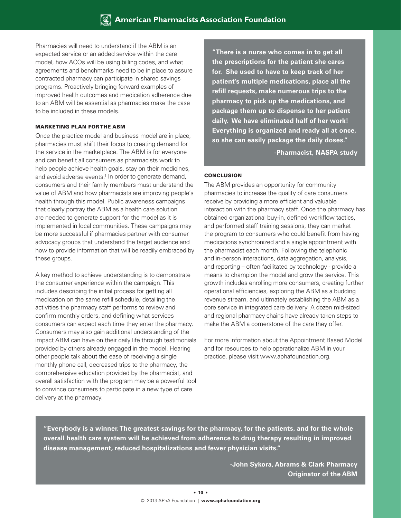Pharmacies will need to understand if the ABM is an expected service or an added service within the care model, how ACOs will be using billing codes, and what agreements and benchmarks need to be in place to assure contracted pharmacy can participate in shared savings programs. Proactively bringing forward examples of improved health outcomes and medication adherence due to an ABM will be essential as pharmacies make the case to be included in these models.

#### Marketing Plan for the ABM

Once the practice model and business model are in place, pharmacies must shift their focus to creating demand for the service in the marketplace. The ABM is for everyone and can benefit all consumers as pharmacists work to help people achieve health goals, stay on their medicines, and avoid adverse events.<sup>1</sup> In order to generate demand, consumers and their family members must understand the value of ABM and how pharmacists are improving people's health through this model. Public awareness campaigns that clearly portray the ABM as a health care solution are needed to generate support for the model as it is implemented in local communities. These campaigns may be more successful if pharmacies partner with consumer advocacy groups that understand the target audience and how to provide information that will be readily embraced by these groups.

A key method to achieve understanding is to demonstrate the consumer experience within the campaign. This includes describing the initial process for getting all medication on the same refill schedule, detailing the activities the pharmacy staff performs to review and confirm monthly orders, and defining what services consumers can expect each time they enter the pharmacy. Consumers may also gain additional understanding of the impact ABM can have on their daily life through testimonials provided by others already engaged in the model. Hearing other people talk about the ease of receiving a single monthly phone call, decreased trips to the pharmacy, the comprehensive education provided by the pharmacist, and overall satisfaction with the program may be a powerful tool to convince consumers to participate in a new type of care delivery at the pharmacy.

**"There is a nurse who comes in to get all the prescriptions for the patient she cares for. She used to have to keep track of her patient's multiple medications, place all the refill requests, make numerous trips to the pharmacy to pick up the medications, and package them up to dispense to her patient daily. We have eliminated half of her work! Everything is organized and ready all at once, so she can easily package the daily doses."**

**-Pharmacist, NASPA study**

#### **CONCLUSION**

The ABM provides an opportunity for community pharmacies to increase the quality of care consumers receive by providing a more efficient and valuable interaction with the pharmacy staff. Once the pharmacy has obtained organizational buy-in, defined workflow tactics, and performed staff training sessions, they can market the program to consumers who could benefit from having medications synchronized and a single appointment with the pharmacist each month. Following the telephonic and in-person interactions, data aggregation, analysis, and reporting – often facilitated by technology - provide a means to champion the model and grow the service. This growth includes enrolling more consumers, creating further operational efficiencies, exploring the ABM as a budding revenue stream, and ultimately establishing the ABM as a core service in integrated care delivery. A dozen mid-sized and regional pharmacy chains have already taken steps to make the ABM a cornerstone of the care they offer.

For more information about the Appointment Based Model and for resources to help operationalize ABM in your practice, please visit www.aphafoundation.org.

**"Everybody is a winner. The greatest savings for the pharmacy, for the patients, and for the whole overall health care system will be achieved from adherence to drug therapy resulting in improved disease management, reduced hospitalizations and fewer physician visits."**

> **-John Sykora, Abrams & Clark Pharmacy Originator of the ABM**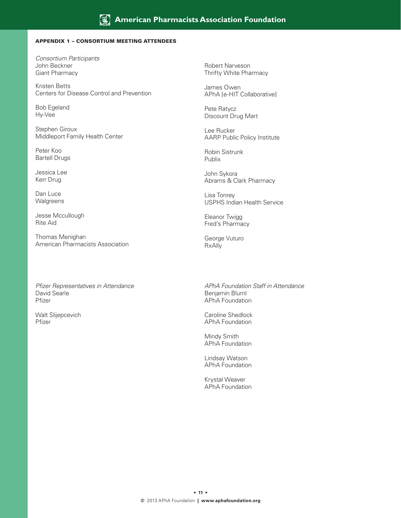#### Appendix 1 – Consortium Meeting Attendees

*Consortium Participants* John Beckner Giant Pharmacy

Kristen Betts Centers for Disease Control and Prevention

Bob Egeland Hy-Vee

Stephen Giroux Middleport Family Health Center

Peter Koo Bartell Drugs

Jessica Lee Kerr Drug

Dan Luce **Walgreens** 

Jesse Mccullough Rite Aid

Thomas Menighan American Pharmacists Association

*Pfizer Representatives in Attendance* David Searle Pfizer

Walt Slijepcevich Pfizer

Robert Narveson Thrifty White Pharmacy

James Owen APhA [e-HIT Collaborative]

Pete Ratycz Discount Drug Mart

Lee Rucker AARP Public Policy Institute

Robin Sistrunk Publix

John Sykora Abrams & Clark Pharmacy

Lisa Tonrey USPHS Indian Health Service

Eleanor Twigg Fred's Pharmacy

George Vuturo RxAlly

*APhA Foundation Staff in Attendance* Benjamin Bluml APhA Foundation

Caroline Shedlock APhA Foundation

Mindy Smith APhA Foundation

Lindsay Watson APhA Foundation

Krystal Weaver APhA Foundation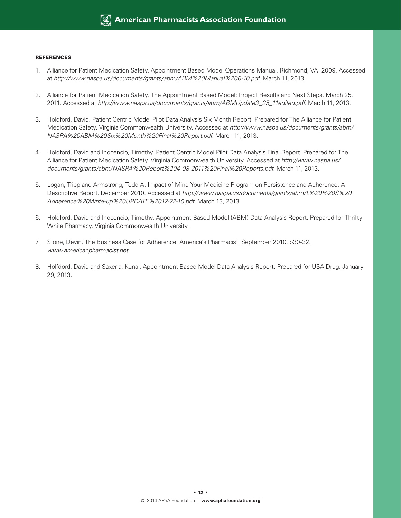#### **REFERENCES**

- 1. Alliance for Patient Medication Safety. Appointment Based Model Operations Manual. Richmond, VA. 2009. Accessed at *http://www.naspa.us/documents/grants/abm/ABM%20Manual%206-10.pdf.* March 11, 2013.
- 2. Alliance for Patient Medication Safety. The Appointment Based Model: Project Results and Next Steps. March 25, 2011. Accessed at *http://www.naspa.us/documents/grants/abm/ABMUpdate3\_25\_11edited.pdf.* March 11, 2013.
- 3. Holdford, David. Patient Centric Model Pilot Data Analysis Six Month Report. Prepared for The Alliance for Patient Medication Safety. Virginia Commonwealth University. Accessed at *http://www.naspa.us/documents/grants/abm/ NASPA%20ABM%20Six%20Month%20Final%20Report.pdf.* March 11, 2013.
- 4. Holdford, David and Inocencio, Timothy. Patient Centric Model Pilot Data Analysis Final Report. Prepared for The Alliance for Patient Medication Safety. Virginia Commonwealth University. Accessed at *http://www.naspa.us/ documents/grants/abm/NASPA%20Report%204-08-2011%20Final%20Reports.pdf.* March 11, 2013.
- 5. Logan, Tripp and Armstrong, Todd A. Impact of Mind Your Medicine Program on Persistence and Adherence: A Descriptive Report. December 2010. Accessed at *http://www.naspa.us/documents/grants/abm/L%20%20S%20 Adherence%20Write-up%20UPDATE%2012-22-10.pdf.* March 13, 2013.
- 6. Holdford, David and Inocencio, Timothy. Appointment-Based Model (ABM) Data Analysis Report. Prepared for Thrifty White Pharmacy. Virginia Commonwealth University.
- 7. Stone, Devin. The Business Case for Adherence. America's Pharmacist. September 2010. p30-32. *www.americanpharmacist.net.*
- 8. Holfdord, David and Saxena, Kunal. Appointment Based Model Data Analysis Report: Prepared for USA Drug. January 29, 2013.